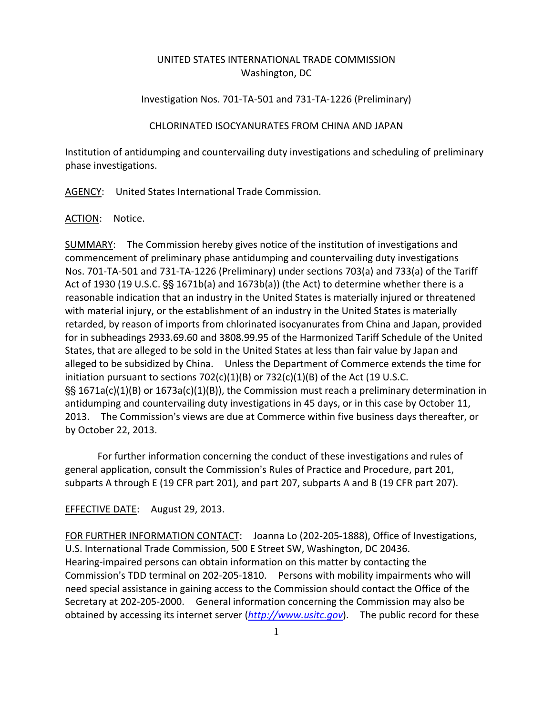# UNITED STATES INTERNATIONAL TRADE COMMISSION Washington, DC

# Investigation Nos. 701‐TA‐501 and 731‐TA‐1226 (Preliminary)

### CHLORINATED ISOCYANURATES FROM CHINA AND JAPAN

Institution of antidumping and countervailing duty investigations and scheduling of preliminary phase investigations.

AGENCY: United States International Trade Commission.

ACTION: Notice.

SUMMARY: The Commission hereby gives notice of the institution of investigations and commencement of preliminary phase antidumping and countervailing duty investigations Nos. 701‐TA‐501 and 731‐TA‐1226 (Preliminary) under sections 703(a) and 733(a) of the Tariff Act of 1930 (19 U.S.C.  $\S$  1671b(a) and 1673b(a)) (the Act) to determine whether there is a reasonable indication that an industry in the United States is materially injured or threatened with material injury, or the establishment of an industry in the United States is materially retarded, by reason of imports from chlorinated isocyanurates from China and Japan, provided for in subheadings 2933.69.60 and 3808.99.95 of the Harmonized Tariff Schedule of the United States, that are alleged to be sold in the United States at less than fair value by Japan and alleged to be subsidized by China. Unless the Department of Commerce extends the time for initiation pursuant to sections  $702(c)(1)(B)$  or  $732(c)(1)(B)$  of the Act (19 U.S.C.  $\frac{1}{5}$  1671a(c)(1)(B) or 1673a(c)(1)(B)), the Commission must reach a preliminary determination in antidumping and countervailing duty investigations in 45 days, or in this case by October 11, 2013. The Commission's views are due at Commerce within five business days thereafter, or by October 22, 2013.

For further information concerning the conduct of these investigations and rules of general application, consult the Commission's Rules of Practice and Procedure, part 201, subparts A through E (19 CFR part 201), and part 207, subparts A and B (19 CFR part 207).

## EFFECTIVE DATE: August 29, 2013.

FOR FURTHER INFORMATION CONTACT: Joanna Lo (202-205-1888), Office of Investigations, U.S. International Trade Commission, 500 E Street SW, Washington, DC 20436. Hearing‐impaired persons can obtain information on this matter by contacting the Commission's TDD terminal on 202-205-1810. Persons with mobility impairments who will need special assistance in gaining access to the Commission should contact the Office of the Secretary at 202‐205‐2000. General information concerning the Commission may also be obtained by accessing its internet server (*http://www.usitc.gov*). The public record for these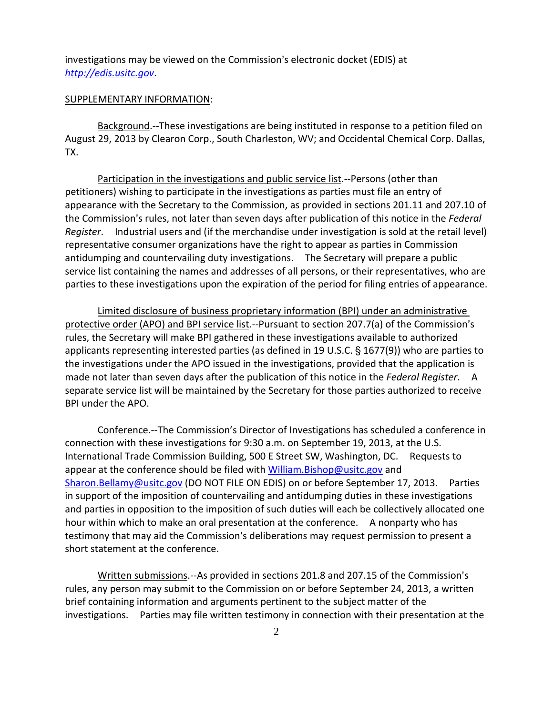investigations may be viewed on the Commission's electronic docket (EDIS) at *http://edis.usitc.gov*.

#### SUPPLEMENTARY INFORMATION:

Background.‐‐These investigations are being instituted in response to a petition filed on August 29, 2013 by Clearon Corp., South Charleston, WV; and Occidental Chemical Corp. Dallas, TX.

Participation in the investigations and public service list.‐‐Persons (other than petitioners) wishing to participate in the investigations as parties must file an entry of appearance with the Secretary to the Commission, as provided in sections 201.11 and 207.10 of the Commission's rules, not later than seven days after publication of this notice in the *Federal Register*. Industrial users and (if the merchandise under investigation is sold at the retail level) representative consumer organizations have the right to appear as parties in Commission antidumping and countervailing duty investigations. The Secretary will prepare a public service list containing the names and addresses of all persons, or their representatives, who are parties to these investigations upon the expiration of the period for filing entries of appearance.

Limited disclosure of business proprietary information (BPI) under an administrative protective order (APO) and BPI service list.--Pursuant to section 207.7(a) of the Commission's rules, the Secretary will make BPI gathered in these investigations available to authorized applicants representing interested parties (as defined in 19 U.S.C.  $\S$  1677(9)) who are parties to the investigations under the APO issued in the investigations, provided that the application is made not later than seven days after the publication of this notice in the *Federal Register*. A separate service list will be maintained by the Secretary for those parties authorized to receive BPI under the APO.

Conference.‐‐The Commission's Director of Investigations has scheduled a conference in connection with these investigations for 9:30 a.m. on September 19, 2013, at the U.S. International Trade Commission Building, 500 E Street SW, Washington, DC. Requests to appear at the conference should be filed with William.Bishop@usitc.gov and Sharon.Bellamy@usitc.gov (DO NOT FILE ON EDIS) on or before September 17, 2013. Parties in support of the imposition of countervailing and antidumping duties in these investigations and parties in opposition to the imposition of such duties will each be collectively allocated one hour within which to make an oral presentation at the conference. A nonparty who has testimony that may aid the Commission's deliberations may request permission to present a short statement at the conference.

Written submissions.--As provided in sections 201.8 and 207.15 of the Commission's rules, any person may submit to the Commission on or before September 24, 2013, a written brief containing information and arguments pertinent to the subject matter of the investigations. Parties may file written testimony in connection with their presentation at the